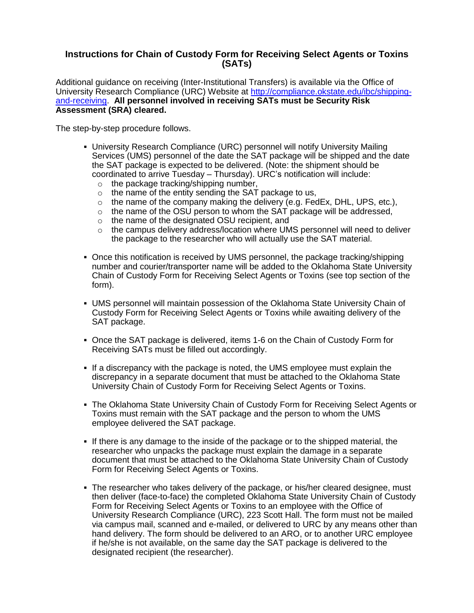## **Instructions for Chain of Custody Form for Receiving Select Agents or Toxins (SATs)**

Additional guidance on receiving (Inter-Institutional Transfers) is available via the Office of University Research Compliance (URC) Website at [http://compliance.okstate.edu/ibc/shipping](http://compliance.okstate.edu/ibc/shipping-and-receiving)[and-receiving.](http://compliance.okstate.edu/ibc/shipping-and-receiving) **All personnel involved in receiving SATs must be Security Risk Assessment (SRA) cleared.**

The step-by-step procedure follows.

- University Research Compliance (URC) personnel will notify University Mailing Services (UMS) personnel of the date the SAT package will be shipped and the date the SAT package is expected to be delivered. (Note: the shipment should be coordinated to arrive Tuesday – Thursday). URC's notification will include:
	- o the package tracking/shipping number,
	- $\circ$  the name of the entity sending the SAT package to us,
	- $\circ$  the name of the company making the delivery (e.g. FedEx, DHL, UPS, etc.),
	- $\circ$  the name of the OSU person to whom the SAT package will be addressed,
	- o the name of the designated OSU recipient, and
	- o the campus delivery address/location where UMS personnel will need to deliver the package to the researcher who will actually use the SAT material.
- Once this notification is received by UMS personnel, the package tracking/shipping number and courier/transporter name will be added to the Oklahoma State University Chain of Custody Form for Receiving Select Agents or Toxins (see top section of the form).
- UMS personnel will maintain possession of the Oklahoma State University Chain of Custody Form for Receiving Select Agents or Toxins while awaiting delivery of the SAT package.
- Once the SAT package is delivered, items 1-6 on the Chain of Custody Form for Receiving SATs must be filled out accordingly.
- If a discrepancy with the package is noted, the UMS employee must explain the discrepancy in a separate document that must be attached to the Oklahoma State University Chain of Custody Form for Receiving Select Agents or Toxins.
- The Oklahoma State University Chain of Custody Form for Receiving Select Agents or Toxins must remain with the SAT package and the person to whom the UMS employee delivered the SAT package.
- If there is any damage to the inside of the package or to the shipped material, the researcher who unpacks the package must explain the damage in a separate document that must be attached to the Oklahoma State University Chain of Custody Form for Receiving Select Agents or Toxins.
- The researcher who takes delivery of the package, or his/her cleared designee, must then deliver (face-to-face) the completed Oklahoma State University Chain of Custody Form for Receiving Select Agents or Toxins to an employee with the Office of University Research Compliance (URC), 223 Scott Hall. The form must not be mailed via campus mail, scanned and e-mailed, or delivered to URC by any means other than hand delivery. The form should be delivered to an ARO, or to another URC employee if he/she is not available, on the same day the SAT package is delivered to the designated recipient (the researcher).